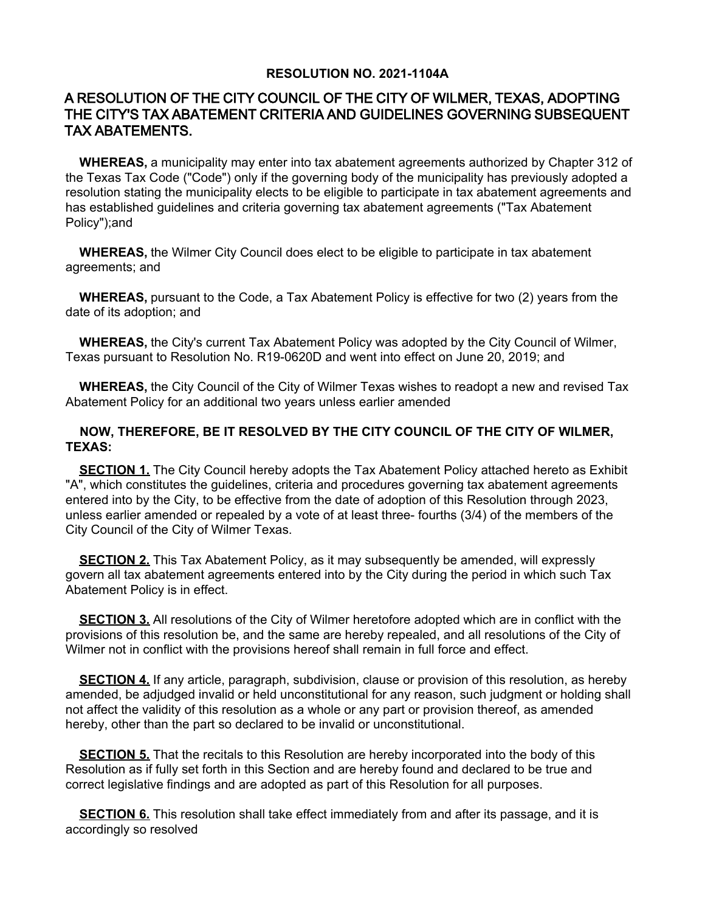## **RESOLUTION NO. 2021-1104A**

# A RESOLUTION OF THE CITY COUNCIL OF THE CITY OF WILMER, TEXAS, ADOPTING THE CITY'S TAX ABATEMENT CRITERIA AND GUIDELINES GOVERNING SUBSEQUENT TAX ABATEMENTS.

 **WHEREAS,** a municipality may enter into tax abatement agreements authorized by Chapter 312 of the Texas Tax Code ("Code") only if the governing body of the municipality has previously adopted a resolution stating the municipality elects to be eligible to participate in tax abatement agreements and has established guidelines and criteria governing tax abatement agreements ("Tax Abatement Policy");and

 **WHEREAS,** the Wilmer City Council does elect to be eligible to participate in tax abatement agreements; and

 **WHEREAS,** pursuant to the Code, a Tax Abatement Policy is effective for two (2) years from the date of its adoption; and

 **WHEREAS,** the City's current Tax Abatement Policy was adopted by the City Council of Wilmer, Texas pursuant to Resolution No. R19-0620D and went into effect on June 20, 2019; and

 **WHEREAS,** the City Council of the City of Wilmer Texas wishes to readopt a new and revised Tax Abatement Policy for an additional two years unless earlier amended

### **NOW, THEREFORE, BE IT RESOLVED BY THE CITY COUNCIL OF THE CITY OF WILMER, TEXAS:**

**SECTION 1.** The City Council hereby adopts the Tax Abatement Policy attached hereto as Exhibit "A", which constitutes the guidelines, criteria and procedures governing tax abatement agreements entered into by the City, to be effective from the date of adoption of this Resolution through 2023, unless earlier amended or repealed by a vote of at least three- fourths (3/4) of the members of the City Council of the City of Wilmer Texas.

**SECTION 2.** This Tax Abatement Policy, as it may subsequently be amended, will expressly govern all tax abatement agreements entered into by the City during the period in which such Tax Abatement Policy is in effect.

 **SECTION 3.** All resolutions of the City of Wilmer heretofore adopted which are in conflict with the provisions of this resolution be, and the same are hereby repealed, and all resolutions of the City of Wilmer not in conflict with the provisions hereof shall remain in full force and effect.

 **SECTION 4.** If any article, paragraph, subdivision, clause or provision of this resolution, as hereby amended, be adjudged invalid or held unconstitutional for any reason, such judgment or holding shall not affect the validity of this resolution as a whole or any part or provision thereof, as amended hereby, other than the part so declared to be invalid or unconstitutional.

**SECTION 5.** That the recitals to this Resolution are hereby incorporated into the body of this Resolution as if fully set forth in this Section and are hereby found and declared to be true and correct legislative findings and are adopted as part of this Resolution for all purposes.

**SECTION 6.** This resolution shall take effect immediately from and after its passage, and it is accordingly so resolved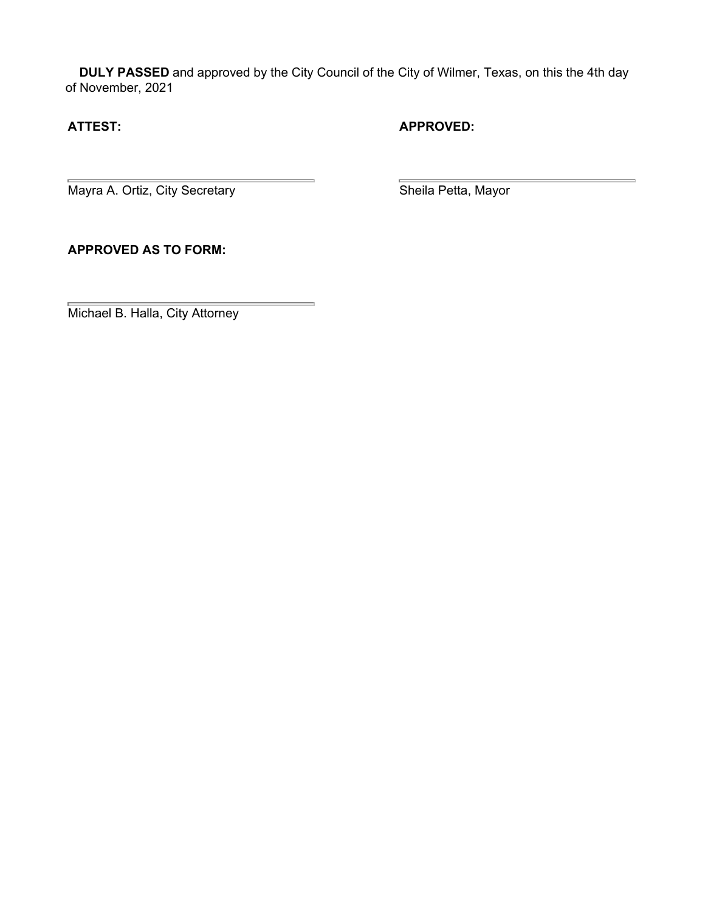**DULY PASSED** and approved by the City Council of the City of Wilmer, Texas, on this the 4th day of November, 2021

 $\equiv$ 

# **ATTEST: APPROVED:**

Mayra A. Ortiz, City Secretary **Network Contains a Sheila Petta, Mayor** 

**APPROVED AS TO FORM:**

Michael B. Halla, City Attorney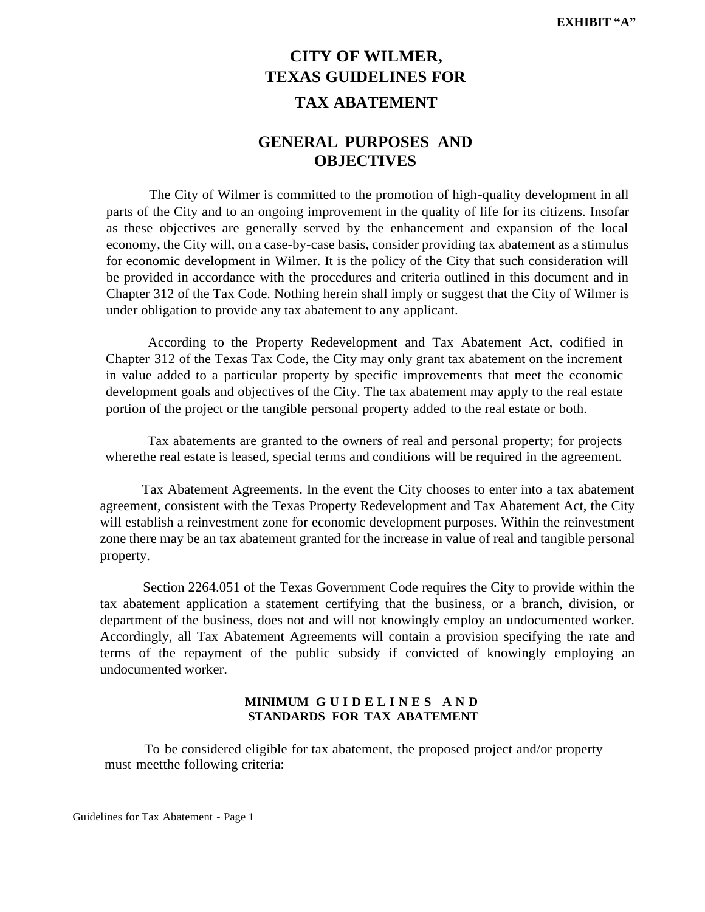# **CITY OF WILMER, TEXAS GUIDELINES FOR TAX ABATEMENT**

# **GENERAL PURPOSES AND OBJECTIVES**

The City of Wilmer is committed to the promotion of high-quality development in all parts of the City and to an ongoing improvement in the quality of life for its citizens. Insofar as these objectives are generally served by the enhancement and expansion of the local economy, the City will, on a case-by-case basis, consider providing tax abatement as a stimulus for economic development in Wilmer. It is the policy of the City that such consideration will be provided in accordance with the procedures and criteria outlined in this document and in Chapter 312 of the Tax Code. Nothing herein shall imply or suggest that the City of Wilmer is under obligation to provide any tax abatement to any applicant.

According to the Property Redevelopment and Tax Abatement Act, codified in Chapter 312 of the Texas Tax Code, the City may only grant tax abatement on the increment in value added to a particular property by specific improvements that meet the economic development goals and objectives of the City. The tax abatement may apply to the real estate portion of the project or the tangible personal property added to the real estate or both.

Tax abatements are granted to the owners of real and personal property; for projects wherethe real estate is leased, special terms and conditions will be required in the agreement.

Tax Abatement Agreements. In the event the City chooses to enter into a tax abatement agreement, consistent with the Texas Property Redevelopment and Tax Abatement Act, the City will establish a reinvestment zone for economic development purposes. Within the reinvestment zone there may be an tax abatement granted for the increase in value of real and tangible personal property.

Section 2264.051 of the Texas Government Code requires the City to provide within the tax abatement application a statement certifying that the business, or a branch, division, or department of the business, does not and will not knowingly employ an undocumented worker. Accordingly, all Tax Abatement Agreements will contain a provision specifying the rate and terms of the repayment of the public subsidy if convicted of knowingly employing an undocumented worker.

### **MINIMUM G U I D E L I N E S A N D STANDARDS FOR TAX ABATEMENT**

To be considered eligible for tax abatement, the proposed project and/or property must meetthe following criteria: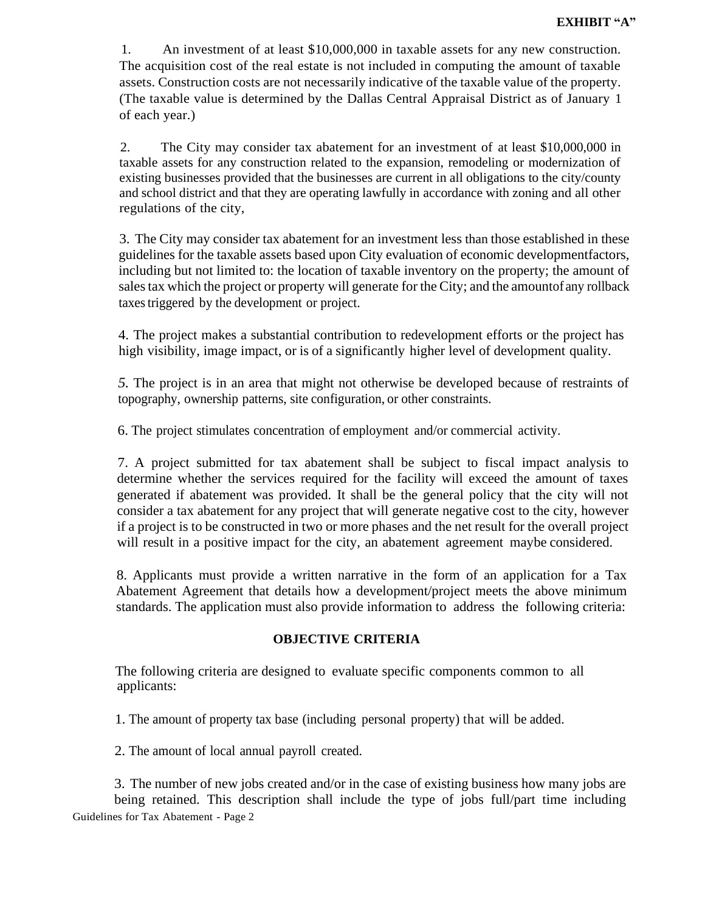1. An investment of at least \$10,000,000 in taxable assets for any new construction. The acquisition cost of the real estate is not included in computing the amount of taxable assets. Construction costs are not necessarily indicative of the taxable value of the property. (The taxable value is determined by the Dallas Central Appraisal District as of January 1 of each year.)

2. The City may consider tax abatement for an investment of at least \$10,000,000 in taxable assets for any construction related to the expansion, remodeling or modernization of existing businesses provided that the businesses are current in all obligations to the city/county and school district and that they are operating lawfully in accordance with zoning and all other regulations of the city,

3. The City may consider tax abatement for an investment less than those established in these guidelines for the taxable assets based upon City evaluation of economic developmentfactors, including but not limited to: the location of taxable inventory on the property; the amount of salestax which the project or property will generate for the City; and the amountof any rollback taxestriggered by the development or project.

4. The project makes a substantial contribution to redevelopment efforts or the project has high visibility, image impact, or is of a significantly higher level of development quality.

*5.* The project is in an area that might not otherwise be developed because of restraints of topography, ownership patterns, site configuration, or other constraints.

6. The project stimulates concentration of employment and/or commercial activity.

7. A project submitted for tax abatement shall be subject to fiscal impact analysis to determine whether the services required for the facility will exceed the amount of taxes generated if abatement was provided. It shall be the general policy that the city will not consider a tax abatement for any project that will generate negative cost to the city, however if a project is to be constructed in two or more phases and the net result for the overall project will result in a positive impact for the city, an abatement agreement maybe considered.

8. Applicants must provide a written narrative in the form of an application for a Tax Abatement Agreement that details how a development/project meets the above minimum standards. The application must also provide information to address the following criteria:

# **OBJECTIVE CRITERIA**

The following criteria are designed to evaluate specific components common to all applicants:

1. The amount of property tax base (including personal property) that will be added.

2. The amount of local annual payroll created.

Guidelines for Tax Abatement - Page 2 3. The number of new jobs created and/or in the case of existing business how many jobs are being retained. This description shall include the type of jobs full/part time including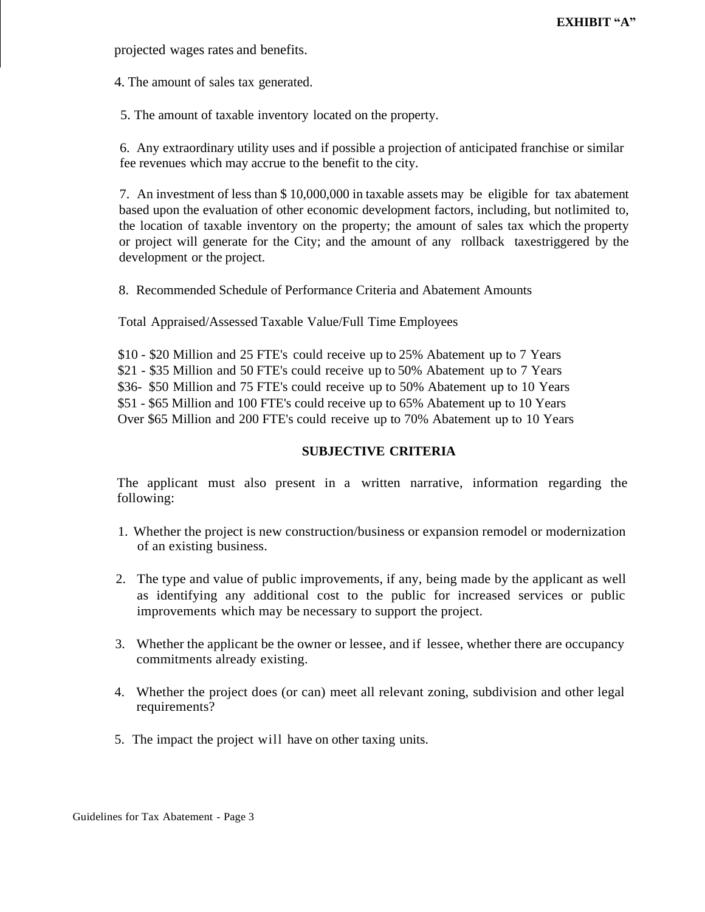projected wages rates and benefits.

4. The amount of sales tax generated.

5. The amount of taxable inventory located on the property.

6. Any extraordinary utility uses and if possible a projection of anticipated franchise or similar fee revenues which may accrue to the benefit to the city.

7. An investment of less than \$ 10,000,000 in taxable assets may be eligible for tax abatement based upon the evaluation of other economic development factors, including, but notlimited to, the location of taxable inventory on the property; the amount of sales tax which the property or project will generate for the City; and the amount of any rollback taxestriggered by the development or the project.

8. Recommended Schedule of Performance Criteria and Abatement Amounts

Total Appraised/Assessed Taxable Value/Full Time Employees

\$10 - \$20 Million and 25 FTE's could receive up to 25% Abatement up to 7 Years \$21 - \$35 Million and 50 FTE's could receive up to 50% Abatement up to 7 Years \$36- \$50 Million and 75 FTE's could receive up to 50% Abatement up to 10 Years \$51 - \$65 Million and 100 FTE's could receive up to 65% Abatement up to 10 Years Over \$65 Million and 200 FTE's could receive up to 70% Abatement up to 10 Years

# **SUBJECTIVE CRITERIA**

The applicant must also present in a written narrative, information regarding the following:

- 1. Whether the project is new construction/business or expansion remodel or modernization of an existing business.
- 2. The type and value of public improvements, if any, being made by the applicant as well as identifying any additional cost to the public for increased services or public improvements which may be necessary to support the project.
- 3. Whether the applicant be the owner or lessee, and if lessee, whether there are occupancy commitments already existing.
- 4. Whether the project does (or can) meet all relevant zoning, subdivision and other legal requirements?
- 5. The impact the project will have on other taxing units.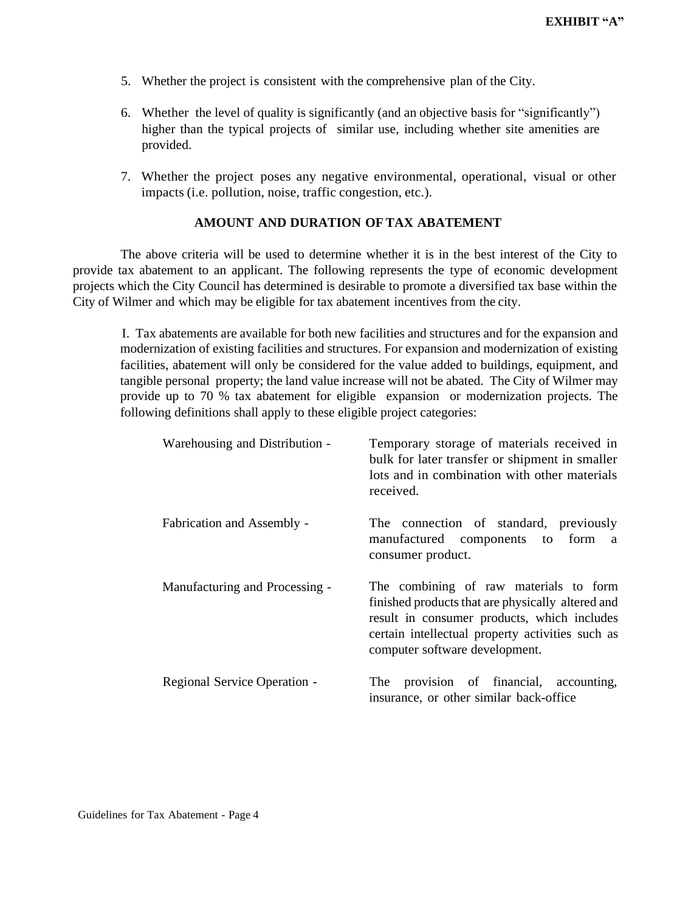- 5. Whether the project is consistent with the comprehensive plan of the City.
- 6. Whether the level of quality is significantly (and an objective basis for "significantly") higher than the typical projects of similar use, including whether site amenities are provided.
- 7. Whether the project poses any negative environmental, operational, visual or other impacts (i.e. pollution, noise, traffic congestion, etc.).

#### **AMOUNT AND DURATION OF TAX ABATEMENT**

The above criteria will be used to determine whether it is in the best interest of the City to provide tax abatement to an applicant. The following represents the type of economic development projects which the City Council has determined is desirable to promote a diversified tax base within the City of Wilmer and which may be eligible for tax abatement incentives from the city.

I. Tax abatements are available for both new facilities and structures and for the expansion and modernization of existing facilities and structures. For expansion and modernization of existing facilities, abatement will only be considered for the value added to buildings, equipment, and tangible personal property; the land value increase will not be abated. The City of Wilmer may provide up to 70 % tax abatement for eligible expansion or modernization projects. The following definitions shall apply to these eligible project categories:

| Warehousing and Distribution - | Temporary storage of materials received in<br>bulk for later transfer or shipment in smaller<br>lots and in combination with other materials<br>received.                                                                        |
|--------------------------------|----------------------------------------------------------------------------------------------------------------------------------------------------------------------------------------------------------------------------------|
| Fabrication and Assembly -     | The connection of standard, previously<br>manufactured components to form<br>a<br>consumer product.                                                                                                                              |
| Manufacturing and Processing - | The combining of raw materials to form<br>finished products that are physically altered and<br>result in consumer products, which includes<br>certain intellectual property activities such as<br>computer software development. |
| Regional Service Operation -   | The provision of financial, accounting,<br>insurance, or other similar back-office                                                                                                                                               |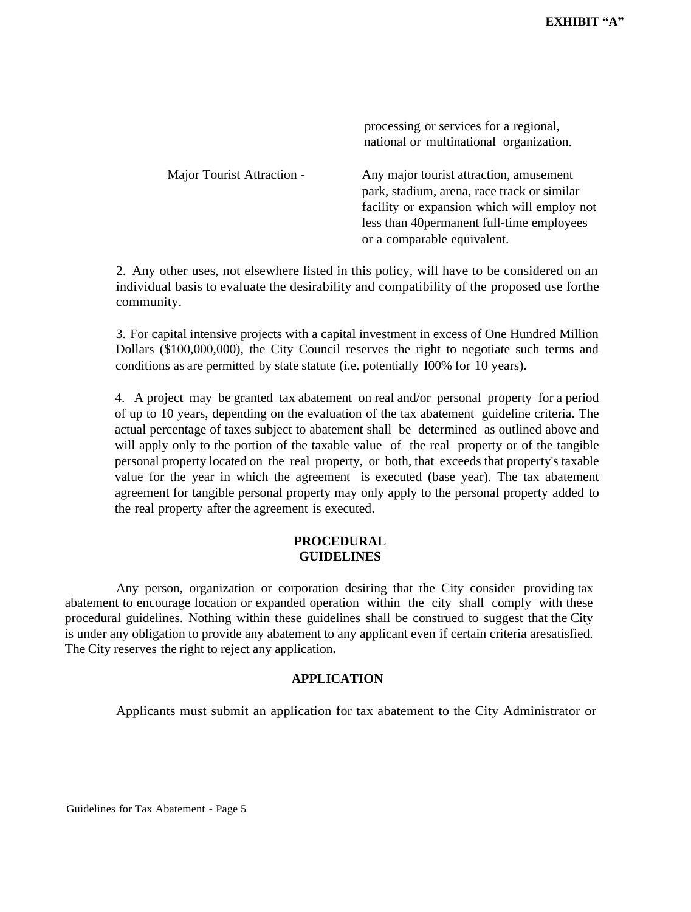|                            | processing or services for a regional,<br>national or multinational organization.                                                     |
|----------------------------|---------------------------------------------------------------------------------------------------------------------------------------|
| Major Tourist Attraction - | Any major tourist attraction, amusement<br>park, stadium, arena, race track or similar<br>facility or expansion which will employ not |
|                            | less than 40 permanent full-time employees<br>or a comparable equivalent.                                                             |

2. Any other uses, not elsewhere listed in this policy, will have to be considered on an individual basis to evaluate the desirability and compatibility of the proposed use forthe community.

3. For capital intensive projects with a capital investment in excess of One Hundred Million Dollars (\$100,000,000), the City Council reserves the right to negotiate such terms and conditions as are permitted by state statute (i.e. potentially I00% for 10 years).

4. A project may be granted tax abatement on real and/or personal property for a period of up to 10 years, depending on the evaluation of the tax abatement guideline criteria. The actual percentage of taxes subject to abatement shall be determined as outlined above and will apply only to the portion of the taxable value of the real property or of the tangible personal property located on the real property, or both, that exceeds that property's taxable value for the year in which the agreement is executed (base year). The tax abatement agreement for tangible personal property may only apply to the personal property added to the real property after the agreement is executed.

### **PROCEDURAL GUIDELINES**

Any person, organization or corporation desiring that the City consider providing tax abatement to encourage location or expanded operation within the city shall comply with these procedural guidelines. Nothing within these guidelines shall be construed to suggest that the City is under any obligation to provide any abatement to any applicant even if certain criteria aresatisfied. The City reserves the right to reject any application**.**

# **APPLICATION**

Applicants must submit an application for tax abatement to the City Administrator or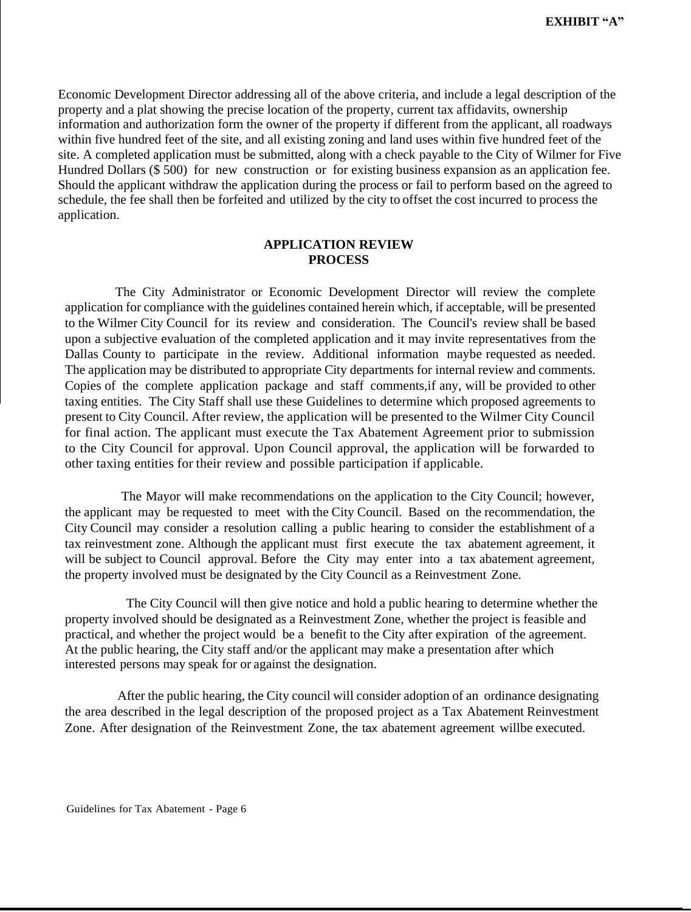Economic Development Director addressing all of the above criteria, and include a legal description of the property and a plat showing the precise location of the property, current tax affidavits, ownership information and authorization form the owner of the property if different from the applicant, all roadways within five hundred feet of the site, and all existing zoning and land uses within five hundred feet of the site. A completed application must be submitted, along with a check payable to the City of Wilmer for Five Hundred Dollars (\$ 500) for new construction or for existing business expansion as an application fee. Should the applicant withdraw the application during the process or fail to perform based on the agreed to schedule, the fee shall then be forfeited and utilized by the city to offset the cost incurred to process the application.

#### **APPLICATION REVIEW PROCESS**

The City Administrator or Economic Development Director will review the complete application for compliance with the guidelines contained herein which, if acceptable, will be presented to the Wilmer City Council for its review and consideration. The Council's review shall be based upon a subjective evaluation of the completed application and it may invite representatives from the Dallas County to participate in the review. Additional information maybe requested as needed. The application may be distributed to appropriate City departments for internal review and comments. Copies of the complete application package and staff comments,if any, will be provided to other taxing entities. The City Staff shall use these Guidelines to determine which proposed agreements to present to City Council. After review, the application will be presented to the Wilmer City Council for final action. The applicant must execute the Tax Abatement Agreement prior to submission to the City Council for approval. Upon Council approval, the application will be forwarded to other taxing entities for their review and possible participation if applicable.

The Mayor will make recommendations on the application to the City Council; however, the applicant may be requested to meet with the City Council. Based on the recommendation, the City Council may consider a resolution calling a public hearing to consider the establishment of a tax reinvestment zone. Although the applicant must first execute the tax abatement agreement, it will be subject to Council approval. Before the City may enter into a tax abatement agreement, the property involved must be designated by the City Council as a Reinvestment Zone.

The City Council will then give notice and hold a public hearing to determine whether the property involved should be designated as a Reinvestment Zone, whether the project is feasible and practical, and whether the project would be a benefit to the City after expiration of the agreement. At the public hearing, the City staff and/or the applicant may make a presentation after which interested persons may speak for or against the designation.

After the public hearing, the City council will consider adoption of an ordinance designating the area described in the legal description of the proposed project as a Tax Abatement Reinvestment Zone. After designation of the Reinvestment Zone, the tax abatement agreement willbe executed.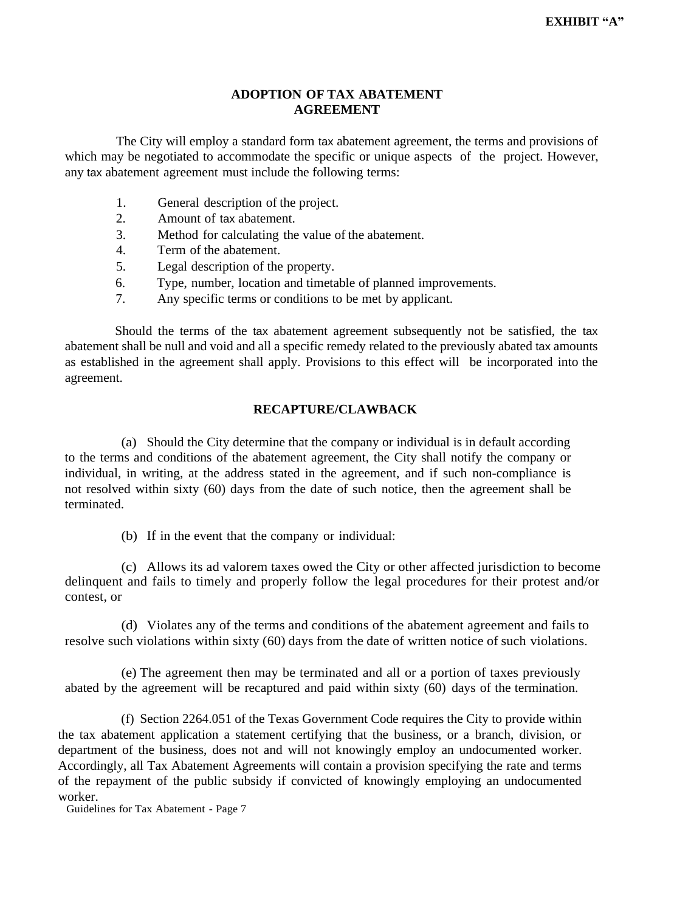#### **ADOPTION OF TAX ABATEMENT AGREEMENT**

The City will employ a standard form tax abatement agreement, the terms and provisions of which may be negotiated to accommodate the specific or unique aspects of the project. However, any tax abatement agreement must include the following terms:

- 1. General description of the project.
- 2. Amount of tax abatement.
- 3. Method for calculating the value of the abatement.
- 4. Term of the abatement.
- 5. Legal description of the property.
- 6. Type, number, location and timetable of planned improvements.
- 7. Any specific terms or conditions to be met by applicant.

Should the terms of the tax abatement agreement subsequently not be satisfied, the tax abatement shall be null and void and all a specific remedy related to the previously abated tax amounts as established in the agreement shall apply. Provisions to this effect will be incorporated into the agreement.

# **RECAPTURE/CLAWBACK**

(a) Should the City determine that the company or individual is in default according to the terms and conditions of the abatement agreement, the City shall notify the company or individual, in writing, at the address stated in the agreement, and if such non-compliance is not resolved within sixty (60) days from the date of such notice, then the agreement shall be terminated.

(b) If in the event that the company or individual:

(c) Allows its ad valorem taxes owed the City or other affected jurisdiction to become delinquent and fails to timely and properly follow the legal procedures for their protest and/or contest, or

(d) Violates any of the terms and conditions of the abatement agreement and fails to resolve such violations within sixty (60) days from the date of written notice of such violations.

(e) The agreement then may be terminated and all or a portion of taxes previously abated by the agreement will be recaptured and paid within sixty (60) days of the termination.

(f) Section 2264.051 of the Texas Government Code requires the City to provide within the tax abatement application a statement certifying that the business, or a branch, division, or department of the business, does not and will not knowingly employ an undocumented worker. Accordingly, all Tax Abatement Agreements will contain a provision specifying the rate and terms of the repayment of the public subsidy if convicted of knowingly employing an undocumented worker.

Guidelines for Tax Abatement - Page 7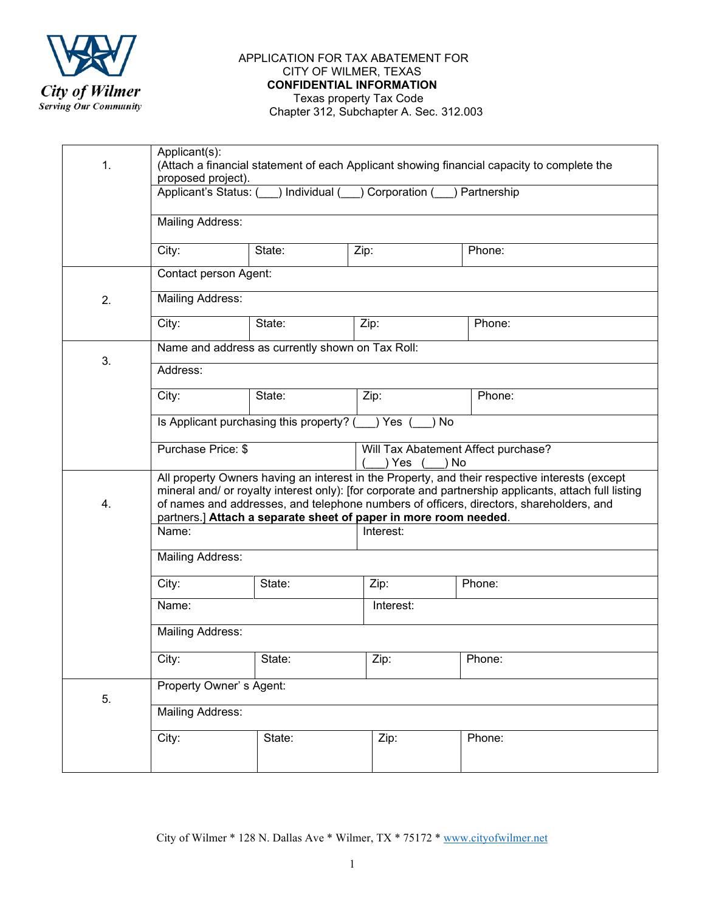

#### APPLICATION FOR TAX ABATEMENT FOR CITY OF WILMER, TEXAS **CONFIDENTIAL INFORMATION**  Texas property Tax Code

Chapter 312, Subchapter A. Sec. 312.003

| 1. | Applicant(s):<br>(Attach a financial statement of each Applicant showing financial capacity to complete the<br>proposed project).                                                                                                                                                                                                                                                             |        |           |        |  |
|----|-----------------------------------------------------------------------------------------------------------------------------------------------------------------------------------------------------------------------------------------------------------------------------------------------------------------------------------------------------------------------------------------------|--------|-----------|--------|--|
|    | ) Individual ( ) Corporation ( )<br>Applicant's Status: (<br>Partnership                                                                                                                                                                                                                                                                                                                      |        |           |        |  |
|    | <b>Mailing Address:</b>                                                                                                                                                                                                                                                                                                                                                                       |        |           |        |  |
|    | City:                                                                                                                                                                                                                                                                                                                                                                                         | State: | Zip:      | Phone: |  |
|    | Contact person Agent:                                                                                                                                                                                                                                                                                                                                                                         |        |           |        |  |
| 2. | <b>Mailing Address:</b>                                                                                                                                                                                                                                                                                                                                                                       |        |           |        |  |
|    | City:                                                                                                                                                                                                                                                                                                                                                                                         | State: | Zip:      | Phone: |  |
| 3. | Name and address as currently shown on Tax Roll:                                                                                                                                                                                                                                                                                                                                              |        |           |        |  |
|    | Address:                                                                                                                                                                                                                                                                                                                                                                                      |        |           |        |  |
|    | City:                                                                                                                                                                                                                                                                                                                                                                                         | State: | Zip:      | Phone: |  |
|    | Is Applicant purchasing this property? () Yes<br>No<br>Purchase Price: \$<br>Will Tax Abatement Affect purchase?<br>) Yes (<br>) No                                                                                                                                                                                                                                                           |        |           |        |  |
|    |                                                                                                                                                                                                                                                                                                                                                                                               |        |           |        |  |
| 4. | All property Owners having an interest in the Property, and their respective interests (except<br>mineral and/ or royalty interest only): [for corporate and partnership applicants, attach full listing<br>of names and addresses, and telephone numbers of officers, directors, shareholders, and<br>partners.] Attach a separate sheet of paper in more room needed.<br>Name:<br>Interest: |        |           |        |  |
|    |                                                                                                                                                                                                                                                                                                                                                                                               |        |           |        |  |
|    | <b>Mailing Address:</b>                                                                                                                                                                                                                                                                                                                                                                       |        |           |        |  |
|    | City:                                                                                                                                                                                                                                                                                                                                                                                         | State: | Zip:      | Phone: |  |
|    | Name:                                                                                                                                                                                                                                                                                                                                                                                         |        | Interest: |        |  |
|    | <b>Mailing Address:</b>                                                                                                                                                                                                                                                                                                                                                                       |        |           |        |  |
|    | City:                                                                                                                                                                                                                                                                                                                                                                                         | State: | Zip:      | Phone: |  |
| 5. | Property Owner's Agent:                                                                                                                                                                                                                                                                                                                                                                       |        |           |        |  |
|    | <b>Mailing Address:</b>                                                                                                                                                                                                                                                                                                                                                                       |        |           |        |  |
|    | City:                                                                                                                                                                                                                                                                                                                                                                                         | State: | Zip:      | Phone: |  |
|    |                                                                                                                                                                                                                                                                                                                                                                                               |        |           |        |  |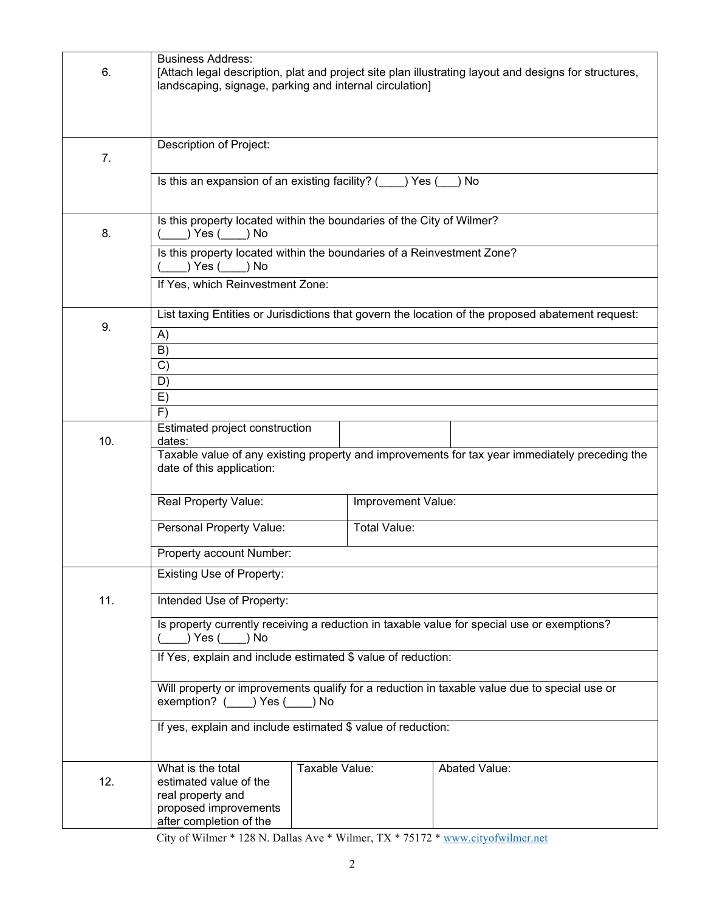| 6.  | <b>Business Address:</b><br>landscaping, signage, parking and internal circulation]                                         |                |                    | [Attach legal description, plat and project site plan illustrating layout and designs for structures, |  |
|-----|-----------------------------------------------------------------------------------------------------------------------------|----------------|--------------------|-------------------------------------------------------------------------------------------------------|--|
| 7.  | Description of Project:                                                                                                     |                |                    |                                                                                                       |  |
|     | Is this an expansion of an existing facility? (<br>) Yes (<br>) No                                                          |                |                    |                                                                                                       |  |
| 8.  | Is this property located within the boundaries of the City of Wilmer?<br>) Yes ( ) No                                       |                |                    |                                                                                                       |  |
|     | Is this property located within the boundaries of a Reinvestment Zone?<br>) Yes ( ) No<br>If Yes, which Reinvestment Zone:  |                |                    |                                                                                                       |  |
| 9.  | List taxing Entities or Jurisdictions that govern the location of the proposed abatement request:                           |                |                    |                                                                                                       |  |
|     | A)<br>B)<br>C)                                                                                                              |                |                    |                                                                                                       |  |
|     | D)<br>E)                                                                                                                    |                |                    |                                                                                                       |  |
| 10. | F)<br>Estimated project construction<br>dates:                                                                              |                |                    |                                                                                                       |  |
|     | Taxable value of any existing property and improvements for tax year immediately preceding the<br>date of this application: |                |                    |                                                                                                       |  |
|     | Real Property Value:                                                                                                        |                | Improvement Value: |                                                                                                       |  |
|     | Personal Property Value:                                                                                                    |                | Total Value:       |                                                                                                       |  |
|     | Property account Number:                                                                                                    |                |                    |                                                                                                       |  |
|     | <b>Existing Use of Property:</b>                                                                                            |                |                    |                                                                                                       |  |
| 11. | Intended Use of Property:                                                                                                   |                |                    |                                                                                                       |  |
|     | Is property currently receiving a reduction in taxable value for special use or exemptions?<br>Yes( ) No                    |                |                    |                                                                                                       |  |
|     | If Yes, explain and include estimated \$ value of reduction:                                                                |                |                    |                                                                                                       |  |
|     | Will property or improvements qualify for a reduction in taxable value due to special use or<br>exemption? () Yes () No     |                |                    |                                                                                                       |  |
|     | If yes, explain and include estimated \$ value of reduction:                                                                |                |                    |                                                                                                       |  |
| 12. | What is the total<br>estimated value of the<br>real property and<br>proposed improvements<br>after completion of the        | Taxable Value: |                    | Abated Value:                                                                                         |  |

City of Wilmer \* 128 N. Dallas Ave \* Wilmer, TX \* 75172 \* [www.cityofwilmer.net](http://www.cityofwilmer.net/)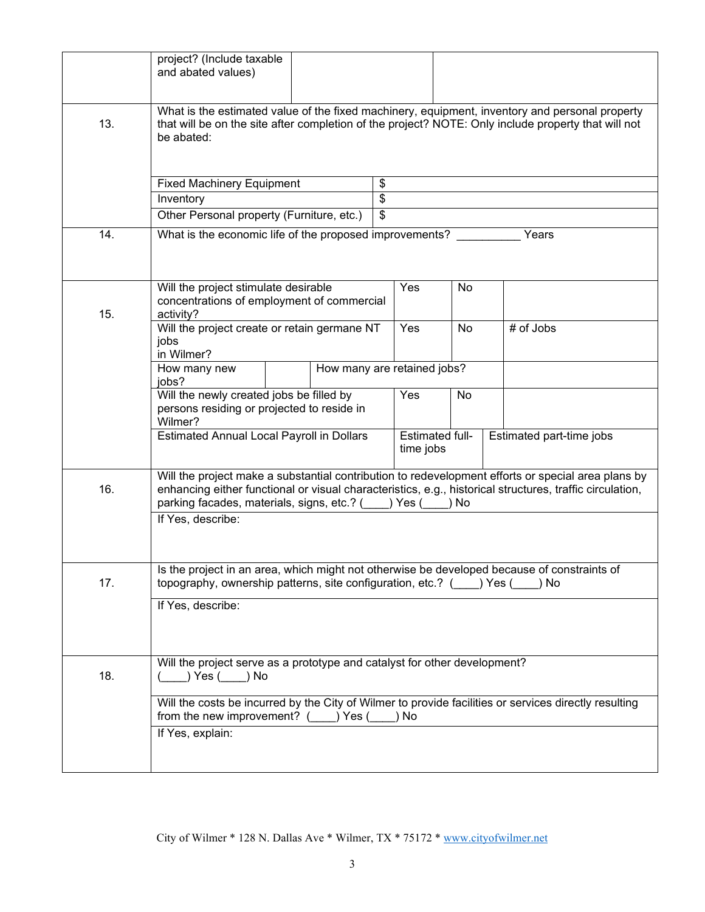|     | project? (Include taxable<br>and abated values)                                                                                                                                                                                                                                                  |                          |                                     |                          |
|-----|--------------------------------------------------------------------------------------------------------------------------------------------------------------------------------------------------------------------------------------------------------------------------------------------------|--------------------------|-------------------------------------|--------------------------|
| 13. | What is the estimated value of the fixed machinery, equipment, inventory and personal property<br>that will be on the site after completion of the project? NOTE: Only include property that will not<br>be abated:                                                                              |                          |                                     |                          |
|     | <b>Fixed Machinery Equipment</b>                                                                                                                                                                                                                                                                 | \$                       |                                     |                          |
|     | Inventory                                                                                                                                                                                                                                                                                        | $\overline{\mathcal{S}}$ |                                     |                          |
|     | Other Personal property (Furniture, etc.)                                                                                                                                                                                                                                                        | $\overline{\mathcal{S}}$ |                                     |                          |
| 14. | What is the economic life of the proposed improvements?                                                                                                                                                                                                                                          |                          |                                     | Years                    |
| 15. | Will the project stimulate desirable<br>concentrations of employment of commercial<br>activity?                                                                                                                                                                                                  | Yes                      | No                                  |                          |
|     | Will the project create or retain germane NT<br>jobs<br>in Wilmer?                                                                                                                                                                                                                               | Yes                      | No                                  | # of Jobs                |
|     | How many are retained jobs?<br>How many new<br>jobs?                                                                                                                                                                                                                                             |                          |                                     |                          |
|     | Will the newly created jobs be filled by<br>persons residing or projected to reside in<br>Wilmer?                                                                                                                                                                                                | Yes                      | No                                  |                          |
|     | <b>Estimated Annual Local Payroll in Dollars</b>                                                                                                                                                                                                                                                 |                          | <b>Estimated full-</b><br>time jobs | Estimated part-time jobs |
| 16. | Will the project make a substantial contribution to redevelopment efforts or special area plans by<br>enhancing either functional or visual characteristics, e.g., historical structures, traffic circulation,<br>parking facades, materials, signs, etc.? () Yes (<br>) No<br>If Yes, describe: |                          |                                     |                          |
|     |                                                                                                                                                                                                                                                                                                  |                          |                                     |                          |
| 17. | Is the project in an area, which might not otherwise be developed because of constraints of<br>topography, ownership patterns, site configuration, etc.? () Yes () No                                                                                                                            |                          |                                     |                          |
|     | If Yes, describe:                                                                                                                                                                                                                                                                                |                          |                                     |                          |
| 18. | Will the project serve as a prototype and catalyst for other development?<br>) Yes () No                                                                                                                                                                                                         |                          |                                     |                          |
|     | Will the costs be incurred by the City of Wilmer to provide facilities or services directly resulting<br>from the new improvement? $($ $)$ Yes $($ $)$ No                                                                                                                                        |                          |                                     |                          |
|     | If Yes, explain:                                                                                                                                                                                                                                                                                 |                          |                                     |                          |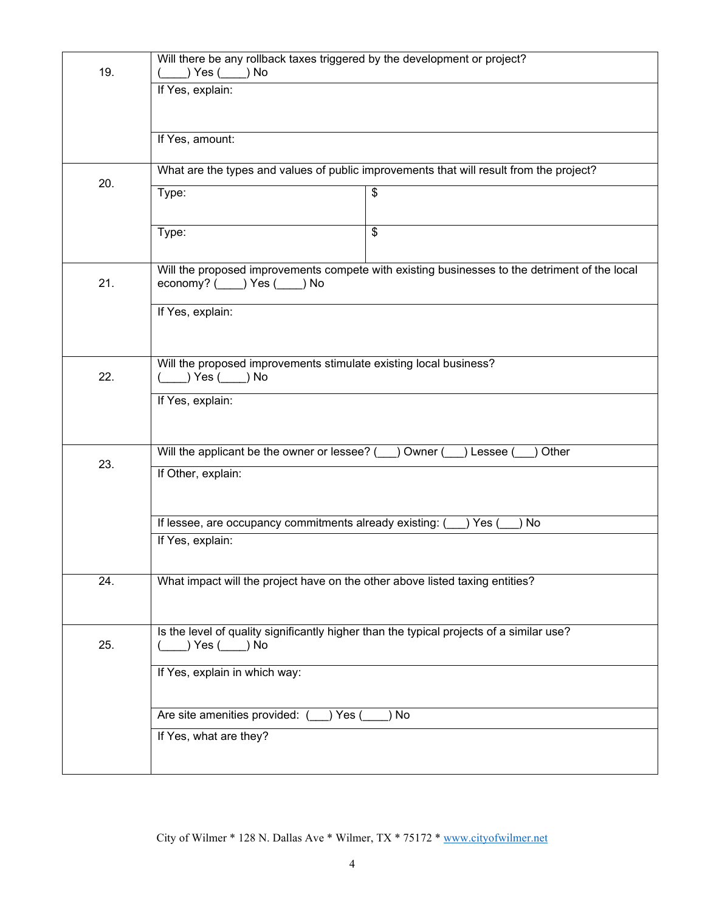| 19.              | Will there be any rollback taxes triggered by the development or project?<br>) Yes ( ) No                                   |  |  |
|------------------|-----------------------------------------------------------------------------------------------------------------------------|--|--|
|                  | If Yes, explain:                                                                                                            |  |  |
|                  |                                                                                                                             |  |  |
|                  | If Yes, amount:                                                                                                             |  |  |
| 20.              | What are the types and values of public improvements that will result from the project?                                     |  |  |
|                  | Type:<br>\$                                                                                                                 |  |  |
|                  | $\overline{\mathcal{S}}$<br>Type:                                                                                           |  |  |
| 21.              | Will the proposed improvements compete with existing businesses to the detriment of the local<br>economy? ( ) Yes (<br>) No |  |  |
|                  | If Yes, explain:                                                                                                            |  |  |
|                  | Will the proposed improvements stimulate existing local business?                                                           |  |  |
| 22.              | $(\_\_\)$ Yes $(\_\_\)$ No                                                                                                  |  |  |
| If Yes, explain: |                                                                                                                             |  |  |
|                  |                                                                                                                             |  |  |
| 23.              | Will the applicant be the owner or lessee? ( ) Owner (<br>) Other<br>) Lessee (<br>If Other, explain:                       |  |  |
|                  |                                                                                                                             |  |  |
|                  | If lessee, are occupancy commitments already existing: (<br>$)$ Yes (<br>No                                                 |  |  |
|                  | If Yes, explain:                                                                                                            |  |  |
| 24.              | What impact will the project have on the other above listed taxing entities?                                                |  |  |
| 25.              | Is the level of quality significantly higher than the typical projects of a similar use?<br>) Yes ( ) No                    |  |  |
|                  | If Yes, explain in which way:                                                                                               |  |  |
|                  | Are site amenities provided: (<br>) Yes (<br>No                                                                             |  |  |
|                  | If Yes, what are they?                                                                                                      |  |  |
|                  |                                                                                                                             |  |  |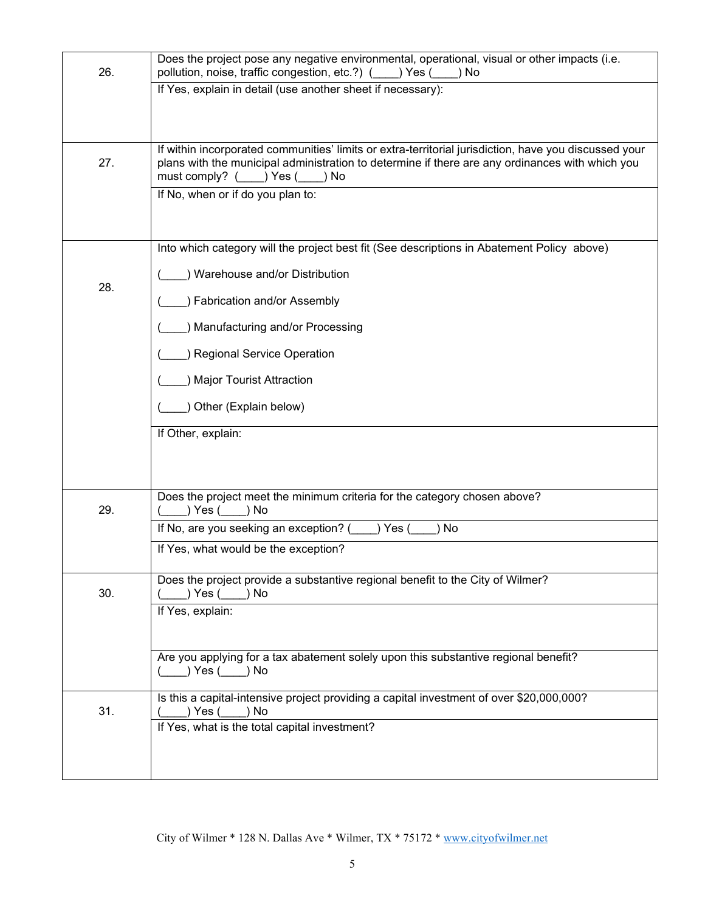| 26. | Does the project pose any negative environmental, operational, visual or other impacts (i.e.<br>pollution, noise, traffic congestion, etc.?) ( ____ ) Yes (<br>)No |
|-----|--------------------------------------------------------------------------------------------------------------------------------------------------------------------|
|     | If Yes, explain in detail (use another sheet if necessary):                                                                                                        |
|     |                                                                                                                                                                    |
|     | If within incorporated communities' limits or extra-territorial jurisdiction, have you discussed your                                                              |
| 27. | plans with the municipal administration to determine if there are any ordinances with which you<br>must comply? () Yes (<br>) No                                   |
|     | If No, when or if do you plan to:                                                                                                                                  |
|     |                                                                                                                                                                    |
|     | Into which category will the project best fit (See descriptions in Abatement Policy above)                                                                         |
|     | Warehouse and/or Distribution                                                                                                                                      |
| 28. | Fabrication and/or Assembly                                                                                                                                        |
|     | Manufacturing and/or Processing                                                                                                                                    |
|     | <b>Regional Service Operation</b>                                                                                                                                  |
|     | <b>Major Tourist Attraction</b>                                                                                                                                    |
|     | Other (Explain below)                                                                                                                                              |
|     | If Other, explain:                                                                                                                                                 |
|     |                                                                                                                                                                    |
|     |                                                                                                                                                                    |
| 29. | Does the project meet the minimum criteria for the category chosen above?<br>) Yes ( ) No                                                                          |
|     | If No, are you seeking an exception? (<br>) Yes (<br>No                                                                                                            |
|     | If Yes, what would be the exception?                                                                                                                               |
|     | Does the project provide a substantive regional benefit to the City of Wilmer?                                                                                     |
| 30. | ) Yes (<br>) No<br>If Yes, explain:                                                                                                                                |
|     |                                                                                                                                                                    |
|     | Are you applying for a tax abatement solely upon this substantive regional benefit?                                                                                |
|     | ) Yes ( ) No                                                                                                                                                       |
| 31. | Is this a capital-intensive project providing a capital investment of over \$20,000,000?<br>) Yes (__<br>) No                                                      |
|     | If Yes, what is the total capital investment?                                                                                                                      |
|     |                                                                                                                                                                    |
|     |                                                                                                                                                                    |